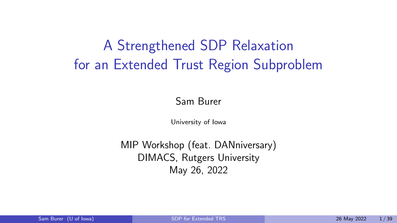# <span id="page-0-0"></span>A Strengthened SDP Relaxation for an Extended Trust Region Subproblem

#### Sam Burer

University of Iowa

MIP Workshop (feat. DANniversary) DIMACS, Rutgers University May 26, 2022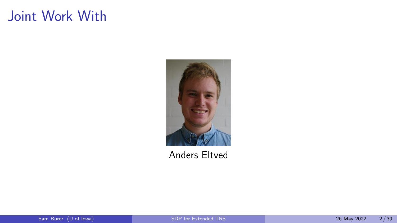# Joint Work With



Anders Eltved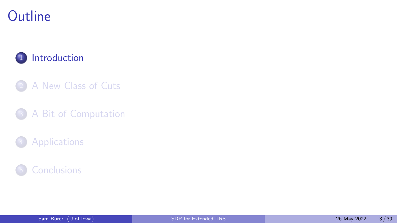# <span id="page-2-0"></span>**Outline**

#### 1 [Introduction](#page-2-0)

- 2 [A New Class of Cuts](#page-22-0)
- <sup>3</sup> [A Bit of Computation](#page-41-0)

#### **[Applications](#page-44-0)**

#### <sup>5</sup> [Conclusions](#page-52-0)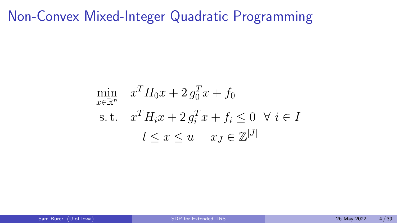# Non-Convex Mixed-Integer Quadratic Programming

$$
\min_{x \in \mathbb{R}^n} \quad x^T H_0 x + 2 g_0^T x + f_0
$$
\n
$$
\text{s.t.} \quad x^T H_i x + 2 g_i^T x + f_i \leq 0 \quad \forall \ i \in I
$$
\n
$$
l \leq x \leq u \quad x_J \in \mathbb{Z}^{|J|}
$$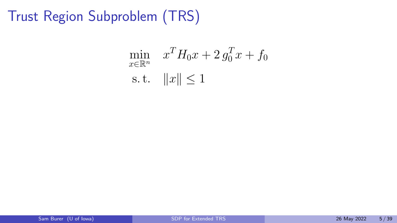Trust Region Subproblem (TRS)

$$
\min_{x \in \mathbb{R}^n} \quad x^T H_0 x + 2 \, g_0^T x + f_0
$$
\n
$$
\text{s.t.} \quad ||x|| \le 1
$$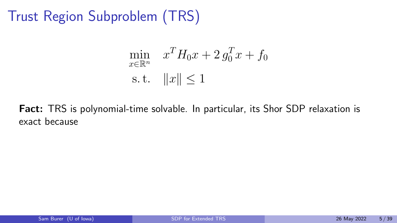Trust Region Subproblem (TRS)

$$
\min_{x \in \mathbb{R}^n} \quad x^T H_0 x + 2 g_0^T x + f_0
$$
  
s.t.  $||x|| \le 1$ 

Fact: TRS is polynomial-time solvable. In particular, its Shor SDP relaxation is exact because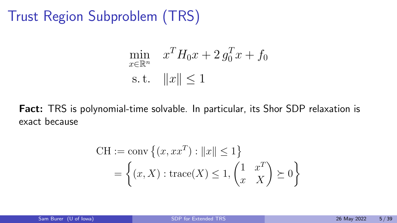Trust Region Subproblem (TRS)

$$
\min_{x \in \mathbb{R}^n} \quad x^T H_0 x + 2 g_0^T x + f_0
$$
  
s.t.  $||x|| \le 1$ 

Fact: TRS is polynomial-time solvable. In particular, its Shor SDP relaxation is exact because

$$
CH := \text{conv}\left\{ (x, xx^T) : ||x|| \le 1 \right\}
$$

$$
= \left\{ (x, X) : \text{trace}(X) \le 1, \begin{pmatrix} 1 & x^T \\ x & X \end{pmatrix} \ge 0 \right\}
$$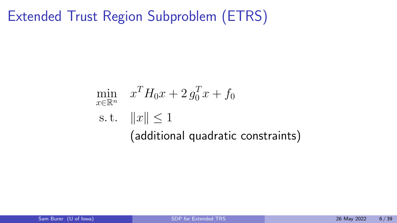# Extended Trust Region Subproblem (ETRS)

$$
\min_{x \in \mathbb{R}^n} x^T H_0 x + 2 g_0^T x + f_0
$$
\n
$$
\text{s.t.} \quad ||x|| \le 1
$$
\n(additional quadratic constraints)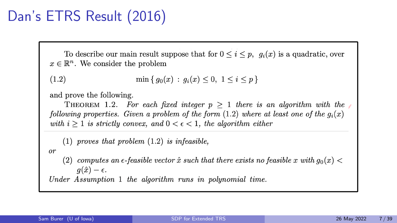# Dan's ETRS Result (2016)

To describe our main result suppose that for  $0 \leq i \leq p$ ,  $q_i(x)$  is a quadratic, over  $x \in \mathbb{R}^n$ . We consider the problem

```
\min\{q_0(x): q_i(x) \leq 0, 1 \leq i \leq p\}(1.2)
```
and prove the following.

THEOREM 1.2. For each fixed integer  $p > 1$  there is an algorithm with the following properties. Given a problem of the form (1.2) where at least one of the  $g_i(x)$ with  $i \geq 1$  is strictly convex, and  $0 \lt \epsilon \lt 1$ , the algorithm either

 $(1)$  proves that problem  $(1.2)$  is infeasible,

 $or$ 

(2) computes an  $\epsilon$ -feasible vector  $\hat{x}$  such that there exists no feasible x with  $g_0(x)$  $q(\hat{x}) - \epsilon.$ 

Under Assumption 1 the algorithm runs in polynomial time.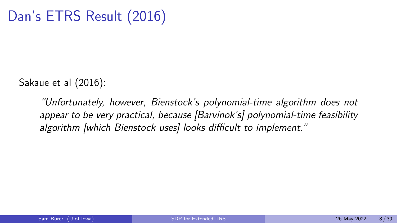Sakaue et al (2016):

"Unfortunately, however, Bienstock's polynomial-time algorithm does not appear to be very practical, because [Barvinok's] polynomial-time feasibility algorithm [which Bienstock uses] looks difficult to implement."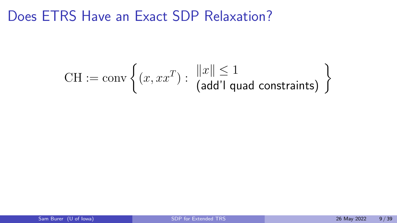## Does ETRS Have an Exact SDP Relaxation?

$$
CH := \text{conv}\left\{ (x, xx^T) : \begin{array}{c} \|x\| \le 1 \\ (\text{add'} I \text{ quad constraints}) \end{array} \right\}
$$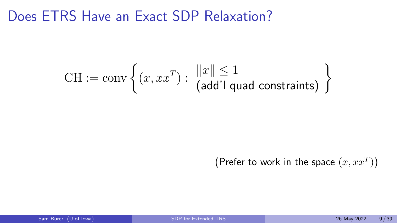## Does ETRS Have an Exact SDP Relaxation?

$$
CH := conv \left\{ (x, xx^T) : \begin{array}{c} \|x\| \le 1 \\ (add'l \text{ quad constraints}) \end{array} \right\}
$$

#### (Prefer to work in the space  $(x, xx^T)$ )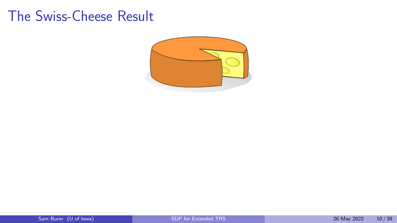#### The Swiss-Cheese Result

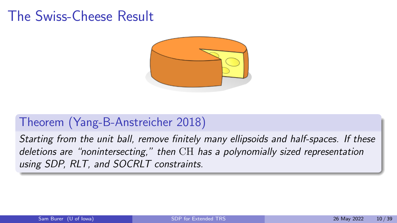### The Swiss-Cheese Result



#### Theorem (Yang-B-Anstreicher 2018)

Starting from the unit ball, remove finitely many ellipsoids and half-spaces. If these deletions are "nonintersecting," then CH has a polynomially sized representation using SDP, RLT, and SOCRLT constraints.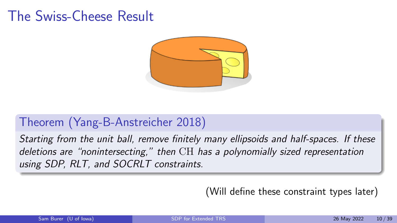### The Swiss-Cheese Result



#### Theorem (Yang-B-Anstreicher 2018)

Starting from the unit ball, remove finitely many ellipsoids and half-spaces. If these deletions are "nonintersecting," then CH has a polynomially sized representation using SDP, RLT, and SOCRLT constraints.

(Will define these constraint types later)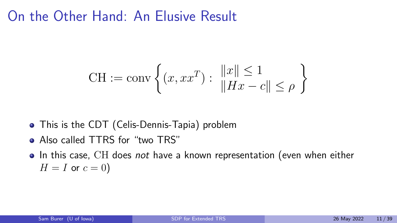## On the Other Hand: An Elusive Result

CH := conv 
$$
\left\{ (x, xx^T) : \frac{\|x\| \le 1}{\|Hx - c\| \le \rho} \right\}
$$

- This is the CDT (Celis-Dennis-Tapia) problem
- Also called TTRS for "two TRS"
- In this case, CH does not have a known representation (even when either  $H = I$  or  $c = 0$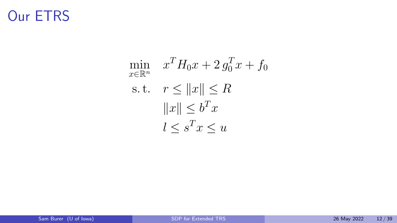# Our ETRS

$$
\min_{x \in \mathbb{R}^n} \quad x^T H_0 x + 2 g_0^T x + f_0
$$
\n
$$
\text{s.t.} \quad r \le \|x\| \le R
$$
\n
$$
\|x\| \le b^T x
$$
\n
$$
l \le s^T x \le u
$$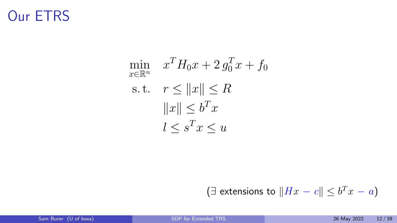# Our ETRS

$$
\min_{x \in \mathbb{R}^n} \quad x^T H_0 x + 2 g_0^T x + f_0
$$
\n
$$
\text{s.t.} \quad r \le \|x\| \le R
$$
\n
$$
\|x\| \le b^T x
$$
\n
$$
l \le s^T x \le u
$$

(∃ extensions to  $||Hx - c|| \leq b^Tx - a$ )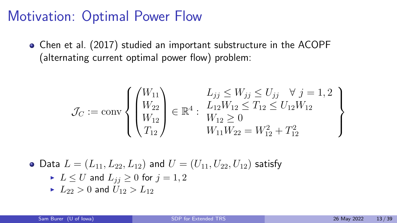Chen et al. (2017) studied an important substructure in the ACOPF (alternating current optimal power flow) problem:

$$
\mathcal{J}_C := \text{conv}\left\{ \begin{pmatrix} W_{11} \\ W_{22} \\ W_{12} \\ T_{12} \end{pmatrix} \in \mathbb{R}^4 : \begin{array}{l} L_{jj} \le W_{jj} \le U_{jj} \quad \forall \ j = 1, 2 \\ L_{12}W_{12} \le T_{12} \le U_{12}W_{12} \\ W_{12} \ge 0 \\ W_{11}W_{22} = W_{12}^2 + T_{12}^2 \end{array} \right\}
$$

- Data  $L = (L_{11}, L_{22}, L_{12})$  and  $U = (U_{11}, U_{22}, U_{12})$  satisfy
	- $\blacktriangleright$   $L \leq U$  and  $L_{ij} \geq 0$  for  $j = 1, 2$
	- $L_{22} > 0$  and  $U_{12} > L_{12}$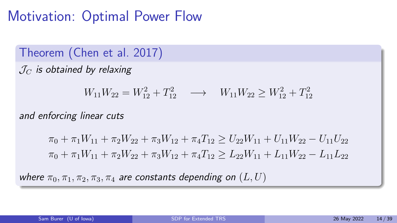Theorem (Chen et al. 2017)

 $J_C$  is obtained by relaxing

 $W_{11}W_{22} = W_{12}^2 + T_{12}^2 \longrightarrow W_{11}W_{22} \ge W_{12}^2 + T_{12}^2$ 

and enforcing linear cuts

 $\pi_0 + \pi_1 W_{11} + \pi_2 W_{22} + \pi_3 W_{12} + \pi_4 T_{12} \geq U_{22} W_{11} + U_{11} W_{22} - U_{11} U_{22}$  $\pi_0 + \pi_1 W_{11} + \pi_2 W_{22} + \pi_3 W_{12} + \pi_4 T_{12} \geq L_{22} W_{11} + L_{11} W_{22} - L_{11} L_{22}$ 

where  $\pi_0, \pi_1, \pi_2, \pi_3, \pi_4$  are constants depending on  $(L, U)$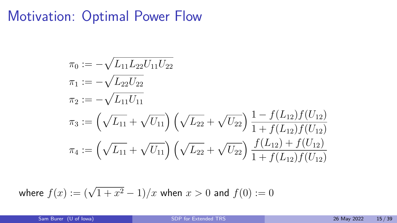$$
\pi_0 := -\sqrt{L_{11}L_{22}U_{11}U_{22}}
$$
\n
$$
\pi_1 := -\sqrt{L_{22}U_{22}}
$$
\n
$$
\pi_2 := -\sqrt{L_{11}U_{11}}
$$
\n
$$
\pi_3 := \left(\sqrt{L_{11}} + \sqrt{U_{11}}\right) \left(\sqrt{L_{22}} + \sqrt{U_{22}}\right) \frac{1 - f(L_{12})f(U_{12})}{1 + f(L_{12})f(U_{12})}
$$
\n
$$
\pi_4 := \left(\sqrt{L_{11}} + \sqrt{U_{11}}\right) \left(\sqrt{L_{22}} + \sqrt{U_{22}}\right) \frac{f(L_{12}) + f(U_{12})}{1 + f(L_{12})f(U_{12})}
$$

where  $f(x) := (\sqrt{1 + x^2} - 1)/x$  when  $x > 0$  and  $f(0) := 0$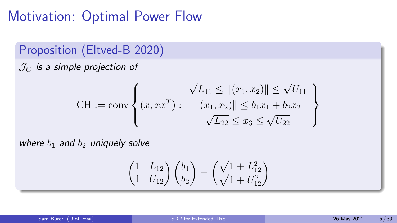Proposition (Eltved-B 2020)

 $J_C$  is a simple projection of

$$
\text{CH} := \text{conv}\left\{ (x, xx^T) : \begin{array}{l} \sqrt{L_{11}} \le ||(x_1, x_2)|| \le \sqrt{U_{11}} \\ ||(x_1, x_2)|| \le b_1 x_1 + b_2 x_2 \\ \sqrt{L_{22}} \le x_3 \le \sqrt{U_{22}} \end{array} \right\}
$$

where  $b_1$  and  $b_2$  uniquely solve

$$
\begin{pmatrix} 1 & L_{12} \\ 1 & U_{12} \end{pmatrix} \begin{pmatrix} b_1 \\ b_2 \end{pmatrix} = \begin{pmatrix} \sqrt{1 + L_{12}^2} \\ \sqrt{1 + U_{12}^2} \end{pmatrix}
$$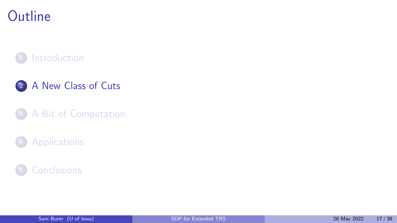# <span id="page-22-0"></span>**Outline**

#### **[Introduction](#page-2-0)**

#### 2 [A New Class of Cuts](#page-22-0)

#### <sup>3</sup> [A Bit of Computation](#page-41-0)

#### **[Applications](#page-44-0)**

#### <sup>5</sup> [Conclusions](#page-52-0)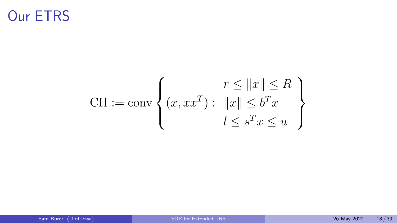# Our ETRS

$$
\text{CH} := \text{conv}\left\{ (x, xx^T) : \begin{aligned} & r \le ||x|| \le R \\ & ||x|| \le b^T x \\ & l \le s^T x \le u \end{aligned} \right\}
$$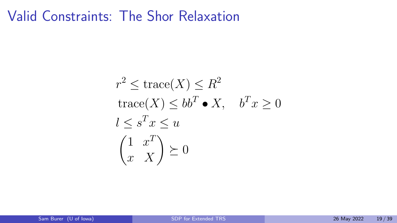## Valid Constraints: The Shor Relaxation

$$
r^{2} \leq \text{trace}(X) \leq R^{2}
$$
  
trace $(X) \leq bb^{T} \bullet X$ ,  $b^{T}x \geq 0$   
 $l \leq s^{T}x \leq u$   
 $\begin{pmatrix} 1 & x^{T} \\ x & X \end{pmatrix} \succeq 0$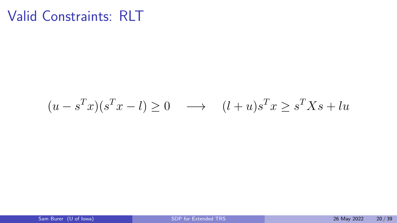$$
(u - sT x)(sT x - l) \ge 0 \longrightarrow (l + u)sT x \ge sT Xs + l u
$$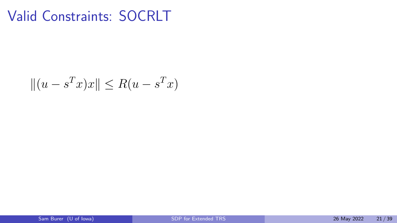$$
||(u - s^T x)x|| \le R(u - s^T x)
$$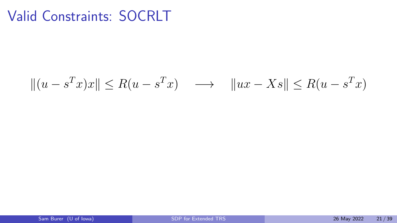$$
||(u - sTx)x|| \le R(u - sTx) \longrightarrow ||ux - Xs|| \le R(u - sTx)
$$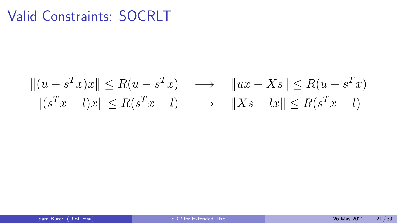$$
||(u - sTx)x|| \le R(u - sTx) \longrightarrow ||ux - Xs|| \le R(u - sTx)
$$
  

$$
||(sTx - l)x|| \le R(sTx - l) \longrightarrow ||Xs - lx|| \le R(sTx - l)
$$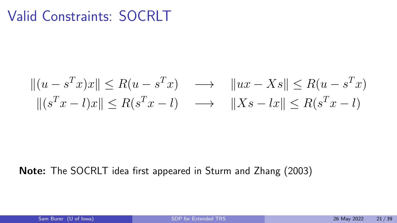$$
||(u - sTx)x|| \le R(u - sTx) \longrightarrow ||ux - Xs|| \le R(u - sTx)
$$
  

$$
||(sTx - l)x|| \le R(sTx - l) \longrightarrow ||Xs - lx|| \le R(sTx - l)
$$

#### Note: The SOCRLT idea first appeared in Sturm and Zhang (2003)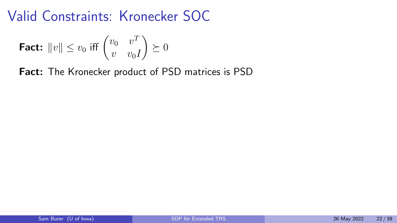## Valid Constraints: Kronecker SOC

$$
\text{Fact: } \|v\| \le v_0 \text{ iff } \begin{pmatrix} v_0 & v^T \\ v & v_0 I \end{pmatrix} \succeq 0
$$

Fact: The Kronecker product of PSD matrices is PSD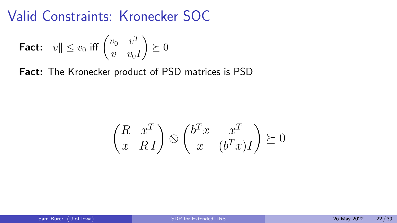## Valid Constraints: Kronecker SOC

$$
\text{Fact: } \|v\| \le v_0 \text{ iff } \begin{pmatrix} v_0 & v^T \\ v & v_0 I \end{pmatrix} \succeq 0
$$

Fact: The Kronecker product of PSD matrices is PSD

$$
\begin{pmatrix} R & x^T \\ x & R \end{pmatrix} \otimes \begin{pmatrix} b^T x & x^T \\ x & (b^T x) \end{pmatrix} \succeq 0
$$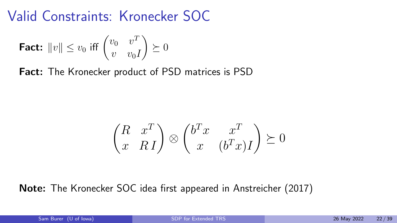## Valid Constraints: Kronecker SOC

$$
\text{Fact: } \|v\| \le v_0 \text{ iff } \begin{pmatrix} v_0 & v^T \\ v & v_0 I \end{pmatrix} \succeq 0
$$

**Fact:** The Kronecker product of PSD matrices is PSD

$$
\begin{pmatrix} R & x^T \\ x & R \end{pmatrix} \otimes \begin{pmatrix} b^T x & x^T \\ x & (b^T x) \end{pmatrix} \succeq 0
$$

Note: The Kronecker SOC idea first appeared in Anstreicher (2017)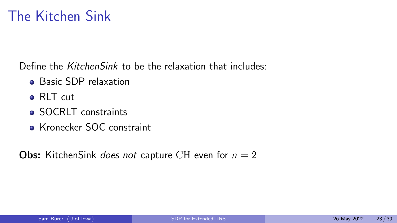## The Kitchen Sink

Define the KitchenSink to be the relaxation that includes:

- **•** Basic SDP relaxation
- o RLT cut
- SOCRLT constraints
- **Kronecker SOC constraint**

**Obs:** KitchenSink does not capture CH even for  $n = 2$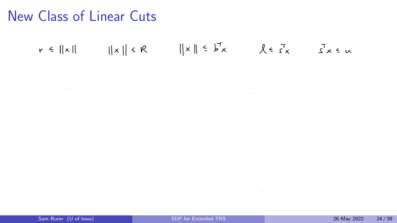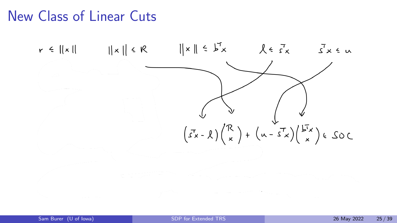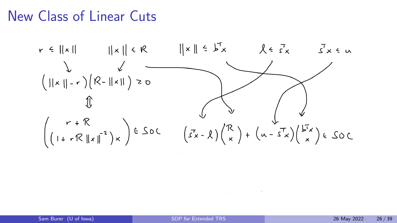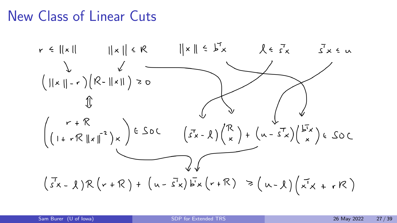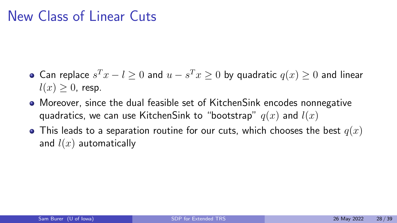- Can replace  $s^T x l \geq 0$  and  $u s^T x \geq 0$  by quadratic  $q(x) \geq 0$  and linear  $l(x) \geq 0$ , resp.
- Moreover, since the dual feasible set of KitchenSink encodes nonnegative quadratics, we can use KitchenSink to "bootstrap"  $q(x)$  and  $l(x)$
- This leads to a separation routine for our cuts, which chooses the best  $q(x)$ and  $l(x)$  automatically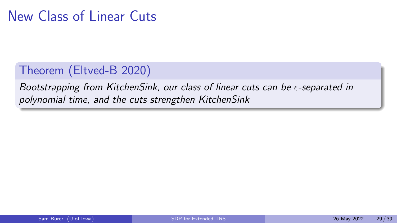#### Theorem (Eltved-B 2020)

Bootstrapping from KitchenSink, our class of linear cuts can be  $\epsilon$ -separated in polynomial time, and the cuts strengthen KitchenSink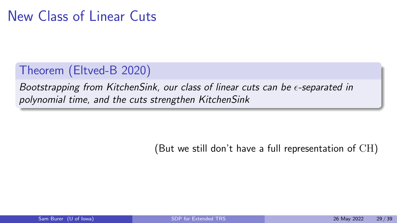#### Theorem (Eltved-B 2020)

Bootstrapping from KitchenSink, our class of linear cuts can be  $\epsilon$ -separated in polynomial time, and the cuts strengthen KitchenSink

(But we still don't have a full representation of CH)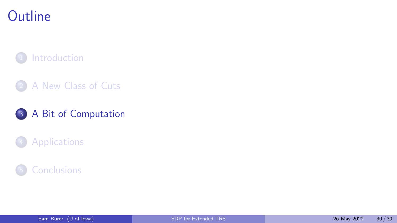# <span id="page-41-0"></span>**Outline**

#### **[Introduction](#page-2-0)**

#### 2 [A New Class of Cuts](#page-22-0)

#### <sup>3</sup> [A Bit of Computation](#page-41-0)

#### **[Applications](#page-44-0)**

#### **[Conclusions](#page-52-0)**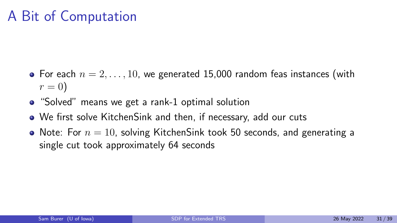# A Bit of Computation

- For each  $n = 2, \ldots, 10$ , we generated 15,000 random feas instances (with  $r=0$
- "Solved" means we get a rank-1 optimal solution
- We first solve KitchenSink and then, if necessary, add our cuts
- Note: For  $n = 10$ , solving KitchenSink took 50 seconds, and generating a single cut took approximately 64 seconds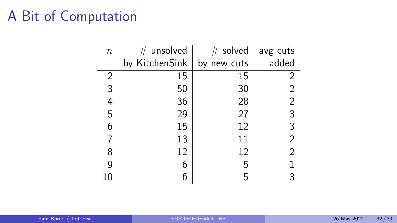# A Bit of Computation

| $\boldsymbol{n}$ | $#$ unsolved   | $#$ solved avg cuts |                |
|------------------|----------------|---------------------|----------------|
|                  | by KitchenSink | by new cuts         | added          |
| 2                | 15             | 15                  | 2              |
| 3                | 50             | 30                  | 2              |
| 4                | 36             | 28                  | $\overline{2}$ |
| 5                | 29             | 27                  | 3              |
| 6                | 15             | 12                  | 3              |
| 7                | 13             | 11                  | $\overline{2}$ |
| 8                | 12             | 12                  | $\overline{2}$ |
| 9                | 6              | 5                   |                |
| 10               | 6              | 5                   | 3              |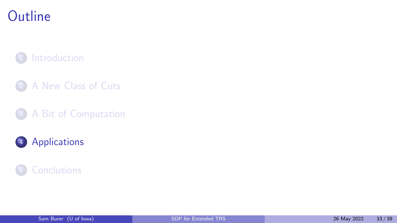# <span id="page-44-0"></span>**Outline**

#### **[Introduction](#page-2-0)**

- 2 [A New Class of Cuts](#page-22-0)
- <sup>3</sup> [A Bit of Computation](#page-41-0)

#### <sup>4</sup> [Applications](#page-44-0)

#### <sup>5</sup> [Conclusions](#page-52-0)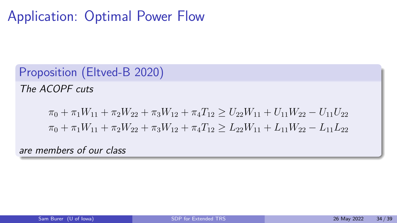# Application: Optimal Power Flow

Proposition (Eltved-B 2020)

The ACOPF cuts

$$
\pi_0 + \pi_1 W_{11} + \pi_2 W_{22} + \pi_3 W_{12} + \pi_4 T_{12} \ge U_{22} W_{11} + U_{11} W_{22} - U_{11} U_{22}
$$
  

$$
\pi_0 + \pi_1 W_{11} + \pi_2 W_{22} + \pi_3 W_{12} + \pi_4 T_{12} \ge L_{22} W_{11} + L_{11} W_{22} - L_{11} L_{22}
$$

are members of our class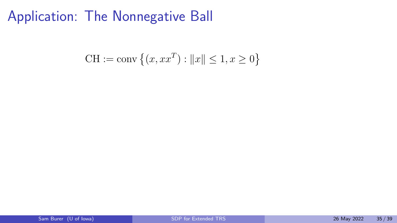$$
CH := \text{conv}\left\{ (x, xx^T) : ||x|| \le 1, x \ge 0 \right\}
$$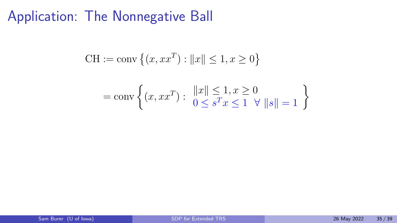CH := conv {
$$
(x, xx^T)
$$
 :  $||x|| \le 1, x \ge 0$ }  
= conv { $(x, xx^T)$  :  $||x|| \le 1, x \ge 0$   
 $0 \le s^T x \le 1 \quad \forall ||s|| = 1$ }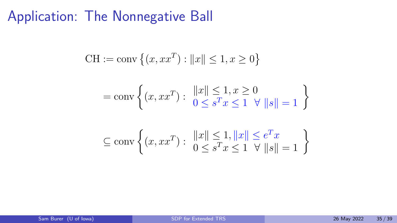$$
CH := \text{conv}\left\{ (x, xx^T) : ||x|| \le 1, x \ge 0 \right\}
$$
  
= 
$$
\text{conv}\left\{ (x, xx^T) : ||x|| \le 1, x \ge 0 \mid 0 \le s^T x \le 1 \quad \forall \ ||s|| = 1 \right\}
$$
  

$$
\subseteq \text{conv}\left\{ (x, xx^T) : ||x|| \le 1, ||x|| \le e^T x \mid 0 \le s^T x \le 1 \quad \forall \ ||s|| = 1 \right\}
$$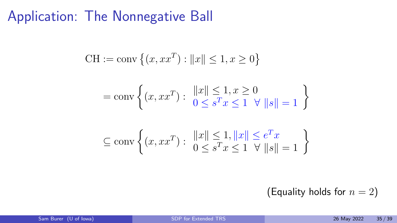$$
CH := \text{conv}\left\{ (x, xx^T) : ||x|| \le 1, x \ge 0 \right\}
$$
  
= 
$$
\text{conv}\left\{ (x, xx^T) : ||x|| \le 1, x \ge 0 \mid 0 \le s^T x \le 1 \quad \forall \ ||s|| = 1 \right\}
$$
  

$$
\subseteq \text{conv}\left\{ (x, xx^T) : ||x|| \le 1, ||x|| \le e^T x \mid 0 \le s^T x \le 1 \quad \forall \ ||s|| = 1 \right\}
$$

(Equality holds for  $n = 2$ )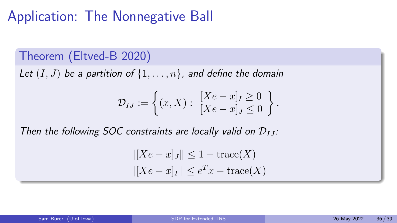### Theorem (Eltved-B 2020)

Let  $(I, J)$  be a partition of  $\{1, \ldots, n\}$ , and define the domain

$$
\mathcal{D}_{IJ} := \left\{ (x, X) : \begin{array}{l} [Xe - x]_I \geq 0 \\ [Xe - x]_J \leq 0 \end{array} \right\}.
$$

Then the following SOC constraints are locally valid on  $\mathcal{D}_{LL}$ :

$$
||[Xe - x]_J|| \le 1 - \text{trace}(X)
$$

$$
||[Xe - x]_I|| \le e^T x - \text{trace}(X)
$$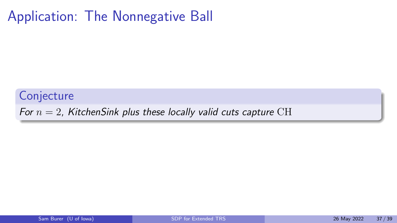**Conjecture** 

For  $n = 2$ , KitchenSink plus these locally valid cuts capture CH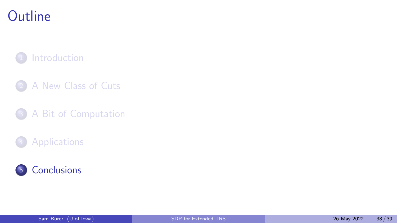# <span id="page-52-0"></span>**Outline**

#### **[Introduction](#page-2-0)**

- 2 [A New Class of Cuts](#page-22-0)
- <sup>3</sup> [A Bit of Computation](#page-41-0)

#### **[Applications](#page-44-0)**